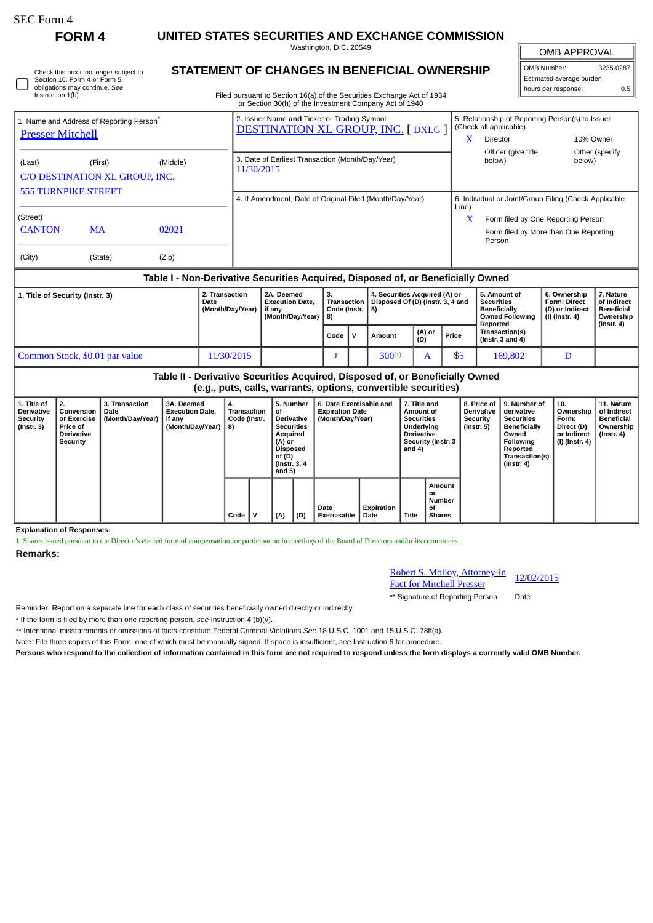∩

**FORM 4 UNITED STATES SECURITIES AND EXCHANGE COMMISSION**

Washington, D.C. 20549

| Check this box if no longer subject to |
|----------------------------------------|
| Section 16. Form 4 or Form 5           |
| obligations may continue. See          |
| Instruction 1(b).                      |

# **STATEMENT OF CHANGES IN BENEFICIAL OWNERSHIP**

Filed pursuant to Section 16(a) of the Securities Exchange Act of 1934 or Section 30(h) of the Investment Company Act of 1940

| OMB APPROVAL             |     |  |  |  |  |  |  |  |  |
|--------------------------|-----|--|--|--|--|--|--|--|--|
| OMB Number:<br>3235-0287 |     |  |  |  |  |  |  |  |  |
| Estimated average burden |     |  |  |  |  |  |  |  |  |
| hours per response:      | 0.5 |  |  |  |  |  |  |  |  |

| 1. Name and Address of Reporting Person <sup>®</sup><br><b>Presser Mitchell</b> |                                           |          | 2. Issuer Name and Ticker or Trading Symbol<br><b>DESTINATION XL GROUP, INC. [DXLG ]</b> | 5. Relationship of Reporting Person(s) to Issuer<br>(Check all applicable) |                                                 |                          |  |  |  |
|---------------------------------------------------------------------------------|-------------------------------------------|----------|------------------------------------------------------------------------------------------|----------------------------------------------------------------------------|-------------------------------------------------|--------------------------|--|--|--|
|                                                                                 |                                           |          |                                                                                          | X                                                                          | Director                                        | 10% Owner                |  |  |  |
| (Last)                                                                          | (First)<br>C/O DESTINATION XL GROUP, INC. | (Middle) | 3. Date of Earliest Transaction (Month/Day/Year)<br>11/30/2015                           |                                                                            | Officer (give title<br>below)                   | Other (specify<br>below) |  |  |  |
| <b>555 TURNPIKE STREET</b>                                                      |                                           |          | 4. If Amendment, Date of Original Filed (Month/Day/Year)                                 | 6. Individual or Joint/Group Filing (Check Applicable<br>Line)             |                                                 |                          |  |  |  |
| (Street)                                                                        |                                           |          |                                                                                          | X                                                                          | Form filed by One Reporting Person              |                          |  |  |  |
| <b>CANTON</b>                                                                   | <b>MA</b>                                 | 02021    |                                                                                          |                                                                            | Form filed by More than One Reporting<br>Person |                          |  |  |  |
| (City)                                                                          | (State)                                   | (Zip)    |                                                                                          |                                                                            |                                                 |                          |  |  |  |

### **Table I - Non-Derivative Securities Acquired, Disposed of, or Beneficially Owned**

| 1. Title of Security (Instr. 3) | 2. Transaction<br>Date<br>(Month/Day/Year) | 2A. Deemed<br><b>Execution Date.</b><br>if anv<br>(Month/Dav/Year)   8) | з.<br>Transaction<br>Code (Instr. |  | 4. Securities Acquired (A) or<br>Disposed Of (D) (Instr. 3, 4 and<br>5) |               |       | 5. Amount of<br><b>Securities</b><br><b>Beneficially</b><br><b>Owned Following</b> | 6. Ownership<br><b>Form: Direct</b><br>(D) or Indirect<br>(I) (Instr. 4) | 7. Nature<br>of Indirect<br><b>Beneficial</b><br>Ownership |
|---------------------------------|--------------------------------------------|-------------------------------------------------------------------------|-----------------------------------|--|-------------------------------------------------------------------------|---------------|-------|------------------------------------------------------------------------------------|--------------------------------------------------------------------------|------------------------------------------------------------|
|                                 |                                            |                                                                         | Code                              |  | Amount                                                                  | (A) or<br>(D) | Price | Reported<br>Transaction(s)<br>(Instr. $3$ and $4$ )                                |                                                                          | $($ lnstr. 4 $)$                                           |
| Common Stock, \$0.01 par value  | 11/30/2015                                 |                                                                         |                                   |  | $300^{(1)}$                                                             |               | \$5   | 169,802                                                                            | D                                                                        |                                                            |

# **Table II - Derivative Securities Acquired, Disposed of, or Beneficially Owned (e.g., puts, calls, warrants, options, convertible securities)**

| 1. Title of<br><b>Derivative</b><br><b>Security</b><br>(Instr. 3) | 2.<br>Conversion<br>or Exercise<br><b>Price of</b><br><b>Derivative</b><br>Security | 3. Transaction<br>Date<br>(Month/Day/Year) | 3A. Deemed<br><b>Execution Date.</b><br>if any<br>(Month/Day/Year) | 4.<br>Transaction<br>Code (Instr.<br>8) |  | 5. Number<br>οf<br><b>Derivative</b><br><b>Securities</b><br>Acquired<br>(A) or<br><b>Disposed</b><br>of (D)<br>(Instr. 3, 4)<br>and $5)$ |  | 6. Date Exercisable and<br><b>Expiration Date</b><br>(Month/Day/Year) |     | 7. Title and<br>Amount of<br><b>Securities</b><br>Underlying<br><b>Derivative</b><br>Security (Instr. 3<br>and 4) |                    | 8. Price of<br><b>Derivative</b><br>Security<br>(Instr. 5) | 9. Number of<br>derivative<br><b>Securities</b><br><b>Beneficially</b><br>Owned<br>Following<br>Reported<br>Transaction(s)<br>$($ Instr. 4 $)$ | 10.<br>Ownership<br>Form:<br>Direct (D)<br>or Indirect<br>(I) (Instr. 4) | 11. Nature<br>of Indirect<br><b>Beneficial</b><br>Ownership<br>$($ Instr. 4 $)$ |  |  |
|-------------------------------------------------------------------|-------------------------------------------------------------------------------------|--------------------------------------------|--------------------------------------------------------------------|-----------------------------------------|--|-------------------------------------------------------------------------------------------------------------------------------------------|--|-----------------------------------------------------------------------|-----|-------------------------------------------------------------------------------------------------------------------|--------------------|------------------------------------------------------------|------------------------------------------------------------------------------------------------------------------------------------------------|--------------------------------------------------------------------------|---------------------------------------------------------------------------------|--|--|
|                                                                   |                                                                                     |                                            |                                                                    |                                         |  | Code                                                                                                                                      |  | (A)                                                                   | (D) | Date<br>Exercisable                                                                                               | Expiration<br>Date | Title                                                      | Amount<br>or<br><b>Number</b><br>οf<br><b>Shares</b>                                                                                           |                                                                          |                                                                                 |  |  |

**Explanation of Responses:**

1. Shares issued pursuant to the Director's elected form of compensation for participation in meetings of the Board of Directors and/or its committees.

**Remarks:**

# Robert S. Molloy, Attorney-in **Robert S. Molloy, Attorney-in** 12/02/2015<br>Fact for Mitchell Presser

\*\* Signature of Reporting Person Date

Reminder: Report on a separate line for each class of securities beneficially owned directly or indirectly.

\* If the form is filed by more than one reporting person, *see* Instruction 4 (b)(v).

\*\* Intentional misstatements or omissions of facts constitute Federal Criminal Violations *See* 18 U.S.C. 1001 and 15 U.S.C. 78ff(a).

Note: File three copies of this Form, one of which must be manually signed. If space is insufficient, *see* Instruction 6 for procedure.

**Persons who respond to the collection of information contained in this form are not required to respond unless the form displays a currently valid OMB Number.**